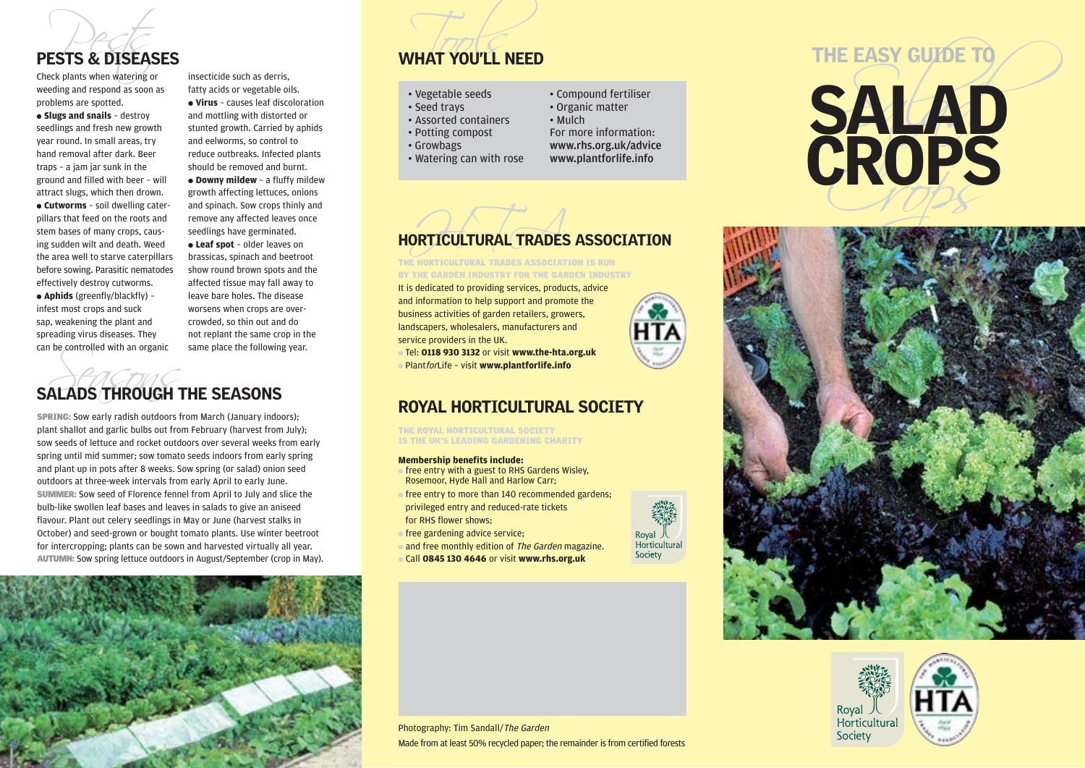

weeding and respond as soon as problems are spotted.

● **Slugs and snails** – destroy seedlings and fresh new growth year round. In small areas, try hand removal after dark. Beer traps – a jam jar sunk in the ground and filled with beer – will attract slugs, which then drown. ● **Cutworms** – soil dwelling caterpillars that feed on the roots and stem bases of many crops, causing sudden wilt and death. Weed the area well to starve caterpillars before sowing. Parasitic nematodes effectively destroy cutworms.

● **Aphids** (greenfly/blackfly) – infest most crops and suck sap, weakening the plant and spreading virus diseases. They can be controlled with an organic

insecticide such as derris, fatty acids or vegetable oils. ● **Virus** – causes leaf discoloration and mottling with distorted or stunted growth. Carried by aphids and eelworms, so control to reduce outbreaks. Infected plants should be removed and burnt.

● **Downy mildew** – a fluffy mildew growth affecting lettuces, onions and spinach. Sow crops thinly and remove any affected leaves once seedlings have germinated.

● **Leaf spot** – older leaves on brassicas, spinach and beetroot show round brown spots and the affected tissue may fall away to leave bare holes. The disease worsens when crops are overcrowded, so thin out and do not replant the same crop in the same place the following year.

# Can be controlled with an organic same place the following<br>SALADS THROUGH THE SEASONS

SPRING: Sow early radish outdoors from March (January indoors); plant shallot and garlic bulbs out from February (harvest from July); sow seeds of lettuce and rocket outdoors over several weeks from early spring until mid summer; sow tomato seeds indoors from early spring and plant up in pots after 8 weeks. Sow spring (or salad) onion seed outdoors at three-week intervals from early April to early June. SUMMER: Sow seed of Florence fennel from April to July and slice the bulb-like swollen leaf bases and leaves in salads to give an aniseed flavour. Plant out celery seedlings in May or June (harvest stalks in October) and seed-grown or bought tomato plants. Use winter beetroot for intercropping; plants can be sown and harvested virtually all year. AUTUMN: Sow spring lettuce outdoors in August/September (crop in May).



# PESTS & DISEASES WHAT YOU'LL NEED

## • Vegetable seeds

- Seed trays
- Assorted containers
- Potting compost
- Growbags
- Watering can with rose
- Compound fertiliser
- Organic matter
- Mulch
- For more information: www.rhs.org.uk/advice
- www.plantforlife.info



# HORTICULTURAL TRADES ASSOCIATION

THE HORTICULTURAL TRADES ASSOCIATION IS RUN BY THE GARDEN INDUSTRY FOR THE GARDEN INDUSTRY

It is dedicated to providing services, products, advice and information to help support and promote the business activities of garden retailers, growers, landscapers, wholesalers, manufacturers and service providers in the UK.

● Tel: **0118 930 3132** or visit **www.the-hta.org.uk** ● PlantforLife – visit **www.plantforlife.info**

## ROYAL HORTICULTURAL SOCIETY

THE ROYAL HORTICULTURAL SOCIETY IS THE UK'S LEADING GARDENING CHARITY

## **Membership benefits include:**

- $\bullet$  free entry with a guest to RHS Gardens Wisley. Rosemoor, Hyde Hall and Harlow Carr;
- free entry to more than 140 recommended gardens; privileged entry and reduced-rate tickets for RHS flower shows;
- free gardening advice service;
- and free monthly edition of The Garden magazine.
- Call **0845 130 4646** or visit **www.rhs.org.uk**







Photography: Tim Sandall/The Garden Made from at least 50% recycled paper; the remainder is from certified forests

Royal 人<br>Horticultural Society